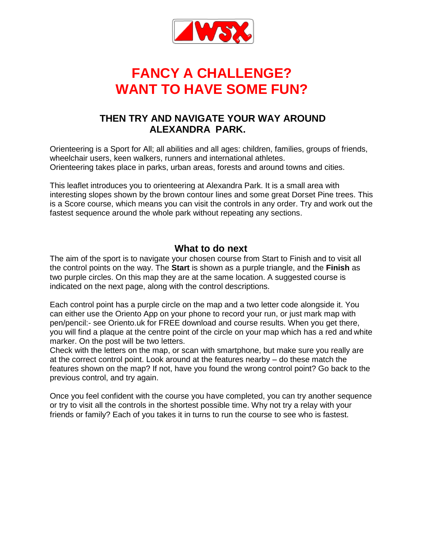

# **FANCY A CHALLENGE? WANT TO HAVE SOME FUN?**

### **THEN TRY AND NAVIGATE YOUR WAY AROUND ALEXANDRA PARK.**

Orienteering is a Sport for All; all abilities and all ages: children, families, groups of friends, wheelchair users, keen walkers, runners and international athletes. Orienteering takes place in parks, urban areas, forests and around towns and cities.

This leaflet introduces you to orienteering at Alexandra Park. It is a small area with interesting slopes shown by the brown contour lines and some great Dorset Pine trees. This is a Score course, which means you can visit the controls in any order. Try and work out the fastest sequence around the whole park without repeating any sections.

#### **What to do next**

The aim of the sport is to navigate your chosen course from Start to Finish and to visit all the control points on the way. The **Start** is shown as a purple triangle, and the **Finish** as two purple circles. On this map they are at the same location. A suggested course is indicated on the next page, along with the control descriptions.

Each control point has a purple circle on the map and a two letter code alongside it. You can either use the Oriento App on your phone to record your run, or just mark map with pen/pencil:- see Oriento.uk for FREE download and course results. When you get there, you will find a plaque at the centre point of the circle on your map which has a red and white marker. On the post will be two letters.

Check with the letters on the map, or scan with smartphone, but make sure you really are at the correct control point. Look around at the features nearby – do these match the features shown on the map? If not, have you found the wrong control point? Go back to the previous control, and try again.

Once you feel confident with the course you have completed, you can try another sequence or try to visit all the controls in the shortest possible time. Why not try a relay with your friends or family? Each of you takes it in turns to run the course to see who is fastest.